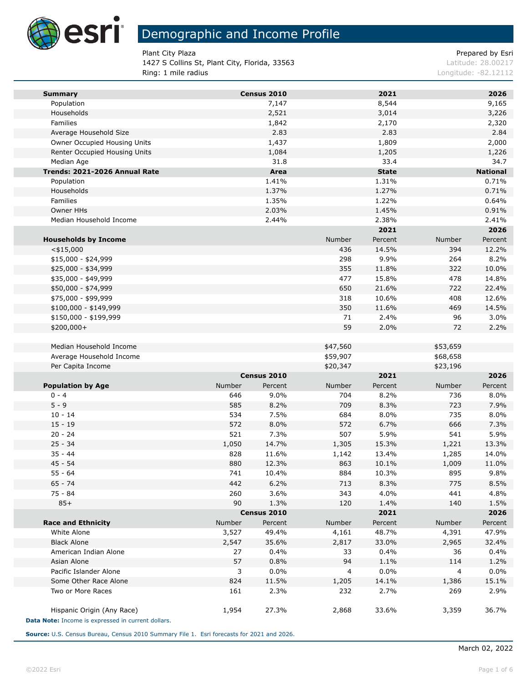

1427 S Collins St, Plant City, Florida, 33563 Latitude: 28.00217 Ring: 1 mile radius **Ring: 1 mile radius** Longitude: -82.12112

Plant City Plaza **Prepared by Estimate Prepared by Estimate Prepared by Estimate Prepared by Estimate Prepared by Estimate Prepared by Estimate Prepared by Estimate Prepared by Estimate Prepared by Estimate Prepared by Est** 

| <b>Summary</b>                                     |              | Census 2010    |                | 2021           |                | 2026            |
|----------------------------------------------------|--------------|----------------|----------------|----------------|----------------|-----------------|
| Population                                         |              | 7,147          |                | 8,544          |                | 9,165           |
| Households                                         |              | 2,521          |                | 3,014          |                | 3,226           |
| Families                                           |              | 1,842          |                | 2,170          |                | 2,320           |
| Average Household Size                             |              | 2.83           |                | 2.83           |                | 2.84            |
| Owner Occupied Housing Units                       |              | 1,437          |                | 1,809          |                | 2,000           |
| Renter Occupied Housing Units                      |              | 1,084          |                | 1,205          |                | 1,226           |
| Median Age                                         |              | 31.8           |                | 33.4           |                | 34.7            |
| Trends: 2021-2026 Annual Rate                      |              | Area           |                | <b>State</b>   |                | <b>National</b> |
| Population                                         |              | 1.41%          |                | 1.31%          |                | 0.71%           |
| Households                                         |              | 1.37%          |                | 1.27%          |                | 0.71%           |
| Families                                           |              | 1.35%          |                | 1.22%          |                | 0.64%           |
| Owner HHs                                          |              | 2.03%          |                | 1.45%          |                | 0.91%           |
| Median Household Income                            |              | 2.44%          |                | 2.38%          |                | 2.41%           |
|                                                    |              |                |                | 2021           |                | 2026            |
| <b>Households by Income</b>                        |              |                | Number         | Percent        | Number         | Percent         |
| $<$ \$15,000                                       |              |                | 436            | 14.5%          | 394            | 12.2%           |
| $$15,000 - $24,999$                                |              |                | 298            | 9.9%           | 264            | 8.2%            |
| \$25,000 - \$34,999                                |              |                | 355            | 11.8%          | 322            | 10.0%           |
| \$35,000 - \$49,999                                |              |                | 477            | 15.8%          | 478            | 14.8%           |
| \$50,000 - \$74,999                                |              |                | 650            | 21.6%          | 722            | 22.4%           |
| \$75,000 - \$99,999                                |              |                | 318            | 10.6%          | 408            | 12.6%           |
| \$100,000 - \$149,999                              |              |                | 350            | 11.6%          | 469            | 14.5%           |
| \$150,000 - \$199,999                              |              |                | 71             | 2.4%           | 96             | 3.0%            |
| \$200,000+                                         |              |                | 59             | 2.0%           | 72             | 2.2%            |
| Median Household Income                            |              |                | \$47,560       |                | \$53,659       |                 |
| Average Household Income                           |              |                | \$59,907       |                | \$68,658       |                 |
| Per Capita Income                                  |              |                | \$20,347       |                | \$23,196       |                 |
|                                                    |              | Census 2010    |                | 2021           |                | 2026            |
| <b>Population by Age</b>                           | Number       | Percent        | Number         | Percent        | Number         | Percent         |
| $0 - 4$                                            | 646          | 9.0%           | 704            | 8.2%           | 736            | 8.0%            |
| $5 - 9$                                            | 585          | 8.2%           | 709            | 8.3%           | 723            | 7.9%            |
| $10 - 14$                                          | 534          | 7.5%           | 684            | 8.0%           | 735            | 8.0%            |
| $15 - 19$                                          | 572          | 8.0%           | 572            | 6.7%           | 666            | 7.3%            |
| $20 - 24$<br>$25 - 34$                             | 521          | 7.3%           | 507            | 5.9%           | 541            | 5.9%            |
| $35 - 44$                                          | 1,050<br>828 | 14.7%<br>11.6% | 1,305<br>1,142 | 15.3%<br>13.4% | 1,221<br>1,285 | 13.3%<br>14.0%  |
| $45 - 54$                                          | 880          | 12.3%          | 863            | 10.1%          | 1,009          | 11.0%           |
| $55 - 64$                                          | 741          | 10.4%          | 884            | 10.3%          | 895            | 9.8%            |
| 65 - 74                                            | 442          | 6.2%           | 713            | 8.3%           | 775            | 8.5%            |
| 75 - 84                                            | 260          | 3.6%           | 343            | 4.0%           | 441            | 4.8%            |
| $85+$                                              | 90           | 1.3%           | 120            | 1.4%           | 140            | 1.5%            |
|                                                    |              | Census 2010    |                | 2021           |                | 2026            |
| <b>Race and Ethnicity</b>                          | Number       | Percent        | Number         | Percent        | Number         | Percent         |
| White Alone                                        | 3,527        | 49.4%          | 4,161          | 48.7%          | 4,391          | 47.9%           |
| <b>Black Alone</b>                                 | 2,547        | 35.6%          | 2,817          | 33.0%          | 2,965          | 32.4%           |
| American Indian Alone                              | 27           | 0.4%           | 33             | 0.4%           | 36             | 0.4%            |
| Asian Alone                                        | 57           | 0.8%           | 94             | 1.1%           | 114            | 1.2%            |
| Pacific Islander Alone                             | 3            | 0.0%           | 4              | 0.0%           | 4              | 0.0%            |
| Some Other Race Alone                              | 824          | 11.5%          | 1,205          | 14.1%          | 1,386          | 15.1%           |
| Two or More Races                                  | 161          | 2.3%           | 232            | 2.7%           | 269            | 2.9%            |
| Hispanic Origin (Any Race)                         | 1,954        | 27.3%          | 2,868          | 33.6%          | 3,359          | 36.7%           |
| Data Note: Income is expressed in current dollars. |              |                |                |                |                |                 |

**Source:** U.S. Census Bureau, Census 2010 Summary File 1. Esri forecasts for 2021 and 2026.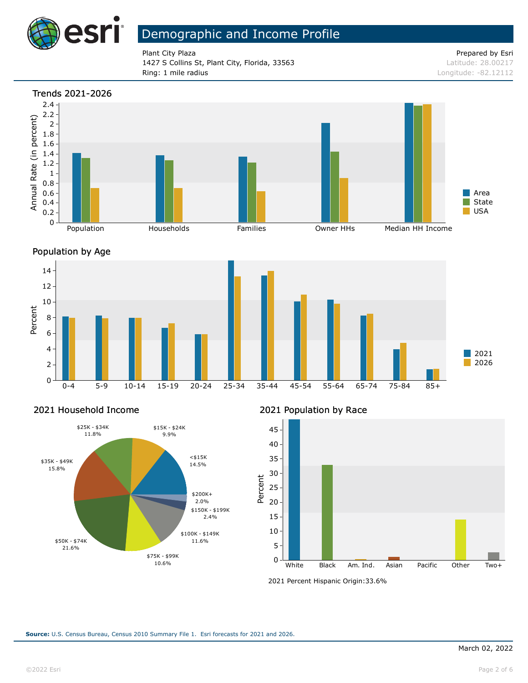

Plant City Plaza **Prepared by Esri** Plant City Plaza 1427 S Collins St, Plant City, Florida, 33563 Latitude: 28.00217 **Ring: 1 mile radius** Longitude: -82.12112









### 2021 Household Income



2021 Population by Race



<sup>2021</sup> Percent Hispanic Origin: 33.6%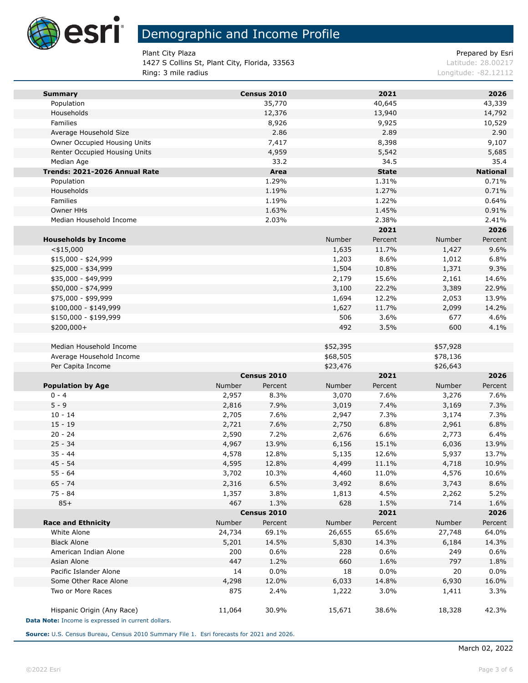

m.

# Demographic and Income Profile

1427 S Collins St, Plant City, Florida, 33563 Latitude: 28.00217 Ring: 3 mile radius **Ring: 3 mile radius** Longitude: -82.12112

Plant City Plaza **Prepared by Estimate Prepared by Estimate Prepared by Estimate Prepared by Estimate Prepared by Estimate Prepared by Estimate Prepared by Estimate Prepared by Estimate Prepared by Estimate Prepared by Est** 

| <b>Summary</b>                                     |        | Census 2010 |          | 2021         |          | 2026            |
|----------------------------------------------------|--------|-------------|----------|--------------|----------|-----------------|
| Population                                         |        | 35,770      |          | 40,645       |          | 43,339          |
| Households                                         |        | 12,376      |          | 13,940       |          | 14,792          |
| Families                                           |        | 8,926       |          | 9,925        |          | 10,529          |
| Average Household Size                             |        | 2.86        |          | 2.89         |          | 2.90            |
| Owner Occupied Housing Units                       |        | 7,417       |          | 8,398        |          | 9,107           |
| Renter Occupied Housing Units                      |        | 4,959       |          | 5,542        |          | 5,685           |
| Median Age                                         |        | 33.2        |          | 34.5         |          | 35.4            |
| Trends: 2021-2026 Annual Rate                      |        | Area        |          | <b>State</b> |          | <b>National</b> |
| Population                                         |        | 1.29%       |          | 1.31%        |          | 0.71%           |
| Households                                         |        | 1.19%       |          | 1.27%        |          | 0.71%           |
| Families                                           |        | 1.19%       |          | 1.22%        |          | 0.64%           |
| Owner HHs                                          |        | 1.63%       |          | 1.45%        |          | 0.91%           |
| Median Household Income                            |        | 2.03%       |          | 2.38%        |          | 2.41%           |
|                                                    |        |             |          | 2021         |          | 2026            |
| <b>Households by Income</b>                        |        |             | Number   | Percent      | Number   | Percent         |
| $<$ \$15,000                                       |        |             | 1,635    | 11.7%        | 1,427    | 9.6%            |
| $$15,000 - $24,999$                                |        |             | 1,203    | 8.6%         | 1,012    | 6.8%            |
| \$25,000 - \$34,999                                |        |             | 1,504    | 10.8%        | 1,371    | 9.3%            |
| \$35,000 - \$49,999                                |        |             | 2,179    | 15.6%        | 2,161    | 14.6%           |
| \$50,000 - \$74,999                                |        |             | 3,100    | 22.2%        | 3,389    | 22.9%           |
| \$75,000 - \$99,999                                |        |             | 1,694    | 12.2%        | 2,053    | 13.9%           |
| \$100,000 - \$149,999                              |        |             | 1,627    | 11.7%        | 2,099    | 14.2%           |
| \$150,000 - \$199,999                              |        |             | 506      | 3.6%         | 677      | 4.6%            |
| \$200,000+                                         |        |             | 492      | 3.5%         | 600      | 4.1%            |
| Median Household Income                            |        |             | \$52,395 |              | \$57,928 |                 |
| Average Household Income                           |        |             | \$68,505 |              | \$78,136 |                 |
| Per Capita Income                                  |        |             | \$23,476 |              | \$26,643 |                 |
|                                                    |        | Census 2010 |          | 2021         |          | 2026            |
| <b>Population by Age</b>                           | Number | Percent     | Number   | Percent      | Number   | Percent         |
| $0 - 4$                                            | 2,957  | 8.3%        | 3,070    | 7.6%         | 3,276    | 7.6%            |
| $5 - 9$                                            | 2,816  | 7.9%        | 3,019    | 7.4%         | 3,169    | 7.3%            |
| $10 - 14$                                          | 2,705  | 7.6%        | 2,947    | 7.3%         | 3,174    | 7.3%            |
| $15 - 19$                                          | 2,721  | 7.6%        | 2,750    | 6.8%         | 2,961    | 6.8%            |
| $20 - 24$                                          | 2,590  | 7.2%        | 2,676    | 6.6%         | 2,773    | 6.4%            |
| $25 - 34$                                          | 4,967  | 13.9%       | 6,156    | 15.1%        | 6,036    | 13.9%           |
| $35 - 44$                                          | 4,578  | 12.8%       | 5,135    | 12.6%        | 5,937    | 13.7%           |
| $45 - 54$                                          | 4,595  | 12.8%       | 4,499    | 11.1%        | 4,718    | 10.9%           |
| $55 - 64$                                          | 3,702  | 10.3%       | 4,460    | 11.0%        | 4,576    | 10.6%           |
| $65 - 74$                                          | 2,316  | 6.5%        | 3,492    | 8.6%         | 3,743    | 8.6%            |
| 75 - 84                                            | 1,357  | 3.8%        | 1,813    | 4.5%         | 2,262    | 5.2%            |
| $85+$                                              | 467    | 1.3%        | 628      | 1.5%         | 714      | 1.6%            |
|                                                    |        | Census 2010 |          | 2021         |          | 2026            |
| <b>Race and Ethnicity</b>                          | Number | Percent     | Number   | Percent      | Number   | Percent         |
| White Alone                                        | 24,734 | 69.1%       | 26,655   | 65.6%        | 27,748   | 64.0%           |
| <b>Black Alone</b>                                 | 5,201  | 14.5%       | 5,830    | 14.3%        | 6,184    | 14.3%           |
| American Indian Alone                              | 200    | 0.6%        | 228      | 0.6%         | 249      | 0.6%            |
| Asian Alone                                        | 447    | 1.2%        | 660      | 1.6%         | 797      | 1.8%            |
| Pacific Islander Alone                             | 14     | 0.0%        | 18       | 0.0%         | 20       | $0.0\%$         |
| Some Other Race Alone                              | 4,298  | 12.0%       | 6,033    | 14.8%        | 6,930    | 16.0%           |
| Two or More Races                                  | 875    | 2.4%        | 1,222    | 3.0%         | 1,411    | 3.3%            |
| Hispanic Origin (Any Race)                         | 11,064 | 30.9%       | 15,671   | 38.6%        | 18,328   | 42.3%           |
| Data Note: Income is expressed in current dollars. |        |             |          |              |          |                 |

**Source:** U.S. Census Bureau, Census 2010 Summary File 1. Esri forecasts for 2021 and 2026.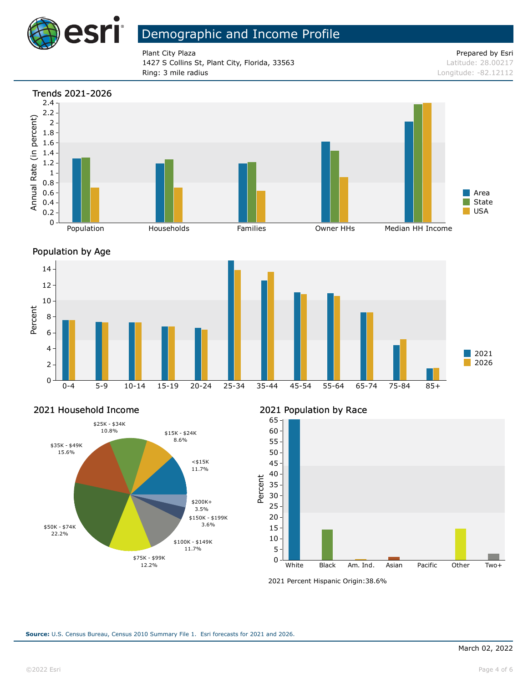

Plant City Plaza **Prepared by Esri** Plant City Plaza 1427 S Collins St, Plant City, Florida, 33563 Latitude: 28.00217 Ring: 3 mile radius and the results of the contract of the contract of the contract of the contract of the contract of the contract of the contract of the contract of the contract of the contract of the contract of the con







#### 2021 Household Income



### 2021 Population by Race



<sup>2021</sup> Percent Hispanic Origin: 38.6%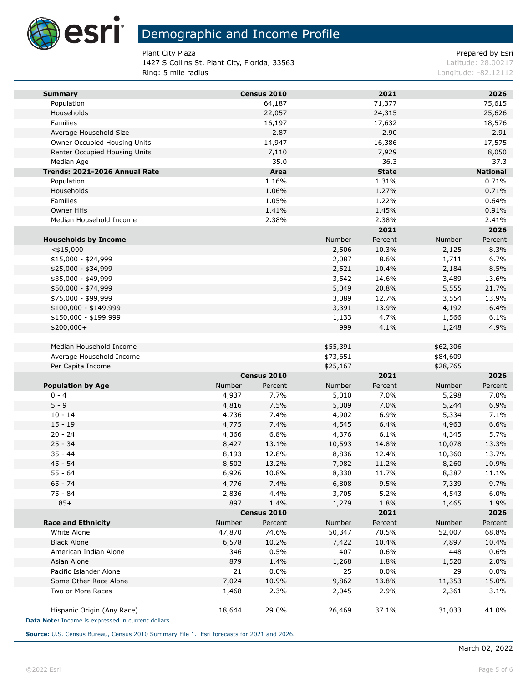

1427 S Collins St, Plant City, Florida, 33563 Latitude: 28.00217 Ring: 5 mile radius **Ring: 5 mile radius** Longitude: -82.12112

Plant City Plaza **Prepared by Estimate Prepared by Estimate Prepared by Estimate Prepared by Estimate Prepared by Estimate Prepared by Estimate Prepared by Estimate Prepared by Estimate Prepared by Estimate Prepared by Est** 

| <b>Summary</b>                                     |        | Census 2010 |          | 2021         |          | 2026            |
|----------------------------------------------------|--------|-------------|----------|--------------|----------|-----------------|
| Population                                         |        | 64,187      |          | 71,377       |          | 75,615          |
| Households                                         |        | 22,057      |          | 24,315       |          | 25,626          |
| Families                                           |        | 16,197      |          | 17,632       |          | 18,576          |
| Average Household Size                             |        | 2.87        |          | 2.90         |          | 2.91            |
| Owner Occupied Housing Units                       |        | 14,947      |          | 16,386       |          | 17,575          |
| Renter Occupied Housing Units                      |        | 7,110       |          | 7,929        |          | 8,050           |
| Median Age                                         |        | 35.0        |          | 36.3         |          | 37.3            |
| Trends: 2021-2026 Annual Rate                      |        | Area        |          | <b>State</b> |          | <b>National</b> |
| Population                                         |        | 1.16%       |          | 1.31%        |          | 0.71%           |
| Households                                         |        | 1.06%       |          | 1.27%        |          | 0.71%           |
| Families                                           |        | 1.05%       |          | 1.22%        |          | 0.64%           |
| Owner HHs                                          |        | 1.41%       |          | 1.45%        |          | 0.91%           |
| Median Household Income                            |        | 2.38%       |          | 2.38%        |          | 2.41%           |
|                                                    |        |             |          | 2021         |          | 2026            |
| <b>Households by Income</b>                        |        |             | Number   | Percent      | Number   | Percent         |
| $<$ \$15,000                                       |        |             | 2,506    | 10.3%        | 2,125    | 8.3%            |
| $$15,000 - $24,999$                                |        |             | 2,087    | 8.6%         | 1,711    | 6.7%            |
| \$25,000 - \$34,999                                |        |             | 2,521    | 10.4%        | 2,184    | 8.5%            |
| \$35,000 - \$49,999                                |        |             | 3,542    | 14.6%        | 3,489    | 13.6%           |
| \$50,000 - \$74,999                                |        |             | 5,049    | 20.8%        | 5,555    | 21.7%           |
| \$75,000 - \$99,999                                |        |             | 3,089    | 12.7%        | 3,554    | 13.9%           |
| \$100,000 - \$149,999                              |        |             | 3,391    | 13.9%        | 4,192    | 16.4%           |
| \$150,000 - \$199,999                              |        |             | 1,133    | 4.7%         | 1,566    | 6.1%            |
| \$200,000+                                         |        |             | 999      | 4.1%         | 1,248    | 4.9%            |
|                                                    |        |             |          |              |          |                 |
| Median Household Income                            |        |             | \$55,391 |              | \$62,306 |                 |
| Average Household Income                           |        |             | \$73,651 |              | \$84,609 |                 |
| Per Capita Income                                  |        |             | \$25,167 |              | \$28,765 |                 |
|                                                    |        | Census 2010 |          | 2021         |          | 2026            |
| <b>Population by Age</b>                           | Number | Percent     | Number   | Percent      | Number   | Percent         |
| $0 - 4$                                            | 4,937  | 7.7%        | 5,010    | 7.0%         | 5,298    | 7.0%            |
| $5 - 9$                                            | 4,816  | 7.5%        | 5,009    | 7.0%         | 5,244    | 6.9%            |
| $10 - 14$                                          | 4,736  | 7.4%        | 4,902    | 6.9%         | 5,334    | 7.1%            |
| $15 - 19$                                          | 4,775  | 7.4%        | 4,545    | 6.4%         | 4,963    | 6.6%            |
| $20 - 24$                                          | 4,366  | 6.8%        | 4,376    | 6.1%         | 4,345    | 5.7%            |
| $25 - 34$                                          | 8,427  | 13.1%       | 10,593   | 14.8%        | 10,078   | 13.3%           |
| $35 - 44$                                          | 8,193  | 12.8%       | 8,836    | 12.4%        | 10,360   | 13.7%           |
| $45 - 54$                                          | 8,502  | 13.2%       | 7,982    | 11.2%        | 8,260    | 10.9%           |
| $55 - 64$                                          | 6,926  | 10.8%       | 8,330    | 11.7%        | 8,387    | 11.1%           |
| 65 - 74                                            | 4,776  | 7.4%        | 6,808    | 9.5%         | 7,339    | 9.7%            |
| 75 - 84                                            | 2,836  | 4.4%        | 3,705    | 5.2%         | 4,543    | 6.0%            |
| $85+$                                              | 897    | 1.4%        | 1,279    | 1.8%         | 1,465    | 1.9%            |
|                                                    |        | Census 2010 |          | 2021         |          | 2026            |
| <b>Race and Ethnicity</b>                          | Number | Percent     | Number   | Percent      | Number   | Percent         |
| White Alone                                        | 47,870 | 74.6%       | 50,347   | 70.5%        | 52,007   | 68.8%           |
| <b>Black Alone</b>                                 | 6,578  | 10.2%       | 7,422    | 10.4%        | 7,897    | 10.4%           |
| American Indian Alone                              | 346    | 0.5%        | 407      | 0.6%         | 448      | 0.6%            |
| Asian Alone                                        | 879    | 1.4%        | 1,268    | 1.8%         | 1,520    | 2.0%            |
| Pacific Islander Alone                             | 21     | 0.0%        | 25       | 0.0%         | 29       | 0.0%            |
| Some Other Race Alone                              | 7,024  | 10.9%       | 9,862    | 13.8%        | 11,353   | 15.0%           |
| Two or More Races                                  | 1,468  | 2.3%        | 2,045    | 2.9%         | 2,361    | 3.1%            |
|                                                    |        |             |          |              |          |                 |
| Hispanic Origin (Any Race)                         | 18,644 | 29.0%       | 26,469   | 37.1%        | 31,033   | 41.0%           |
| Data Note: Income is expressed in current dollars. |        |             |          |              |          |                 |

**Source:** U.S. Census Bureau, Census 2010 Summary File 1. Esri forecasts for 2021 and 2026.